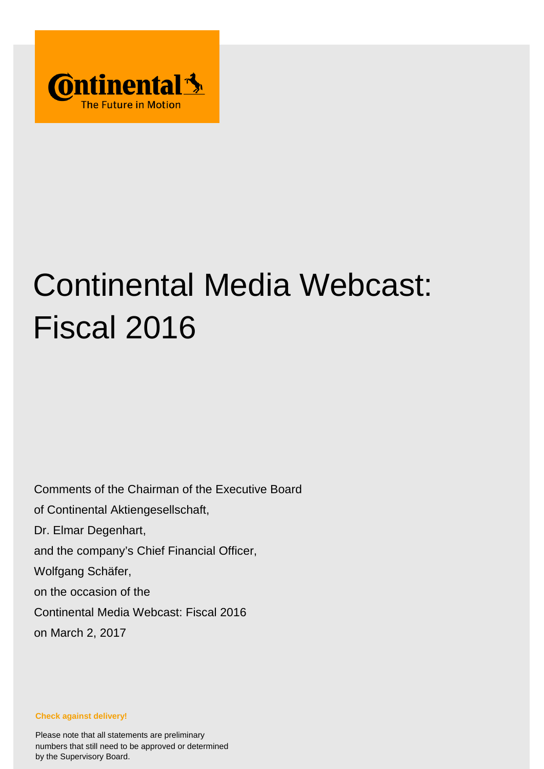

# Continental Media Webcast: Fiscal 2016

Comments of the Chairman of the Executive Board of Continental Aktiengesellschaft, Dr. Elmar Degenhart, and the company's Chief Financial Officer, Wolfgang Schäfer, on the occasion of the Continental Media Webcast: Fiscal 2016 on March 2, 2017

**Check against delivery!**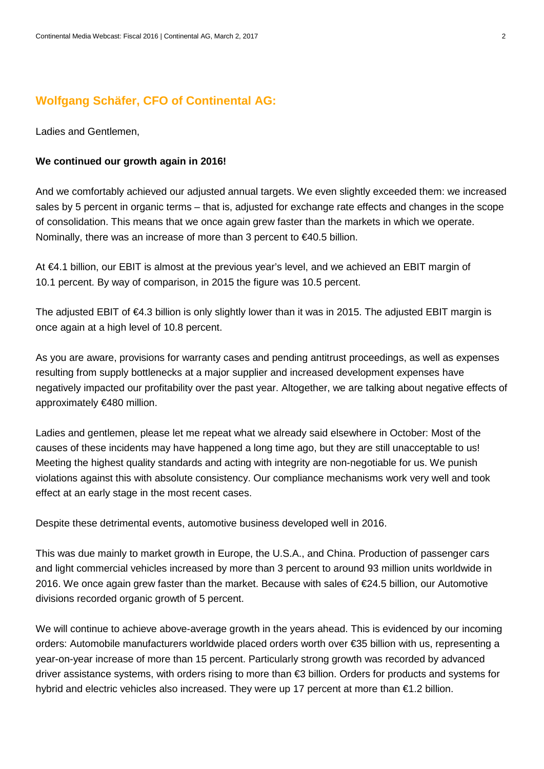## **Wolfgang Schäfer, CFO of Continental AG:**

Ladies and Gentlemen,

#### **We continued our growth again in 2016!**

And we comfortably achieved our adjusted annual targets. We even slightly exceeded them: we increased sales by 5 percent in organic terms – that is, adjusted for exchange rate effects and changes in the scope of consolidation. This means that we once again grew faster than the markets in which we operate. Nominally, there was an increase of more than 3 percent to €40.5 billion.

At €4.1 billion, our EBIT is almost at the previous year's level, and we achieved an EBIT margin of 10.1 percent. By way of comparison, in 2015 the figure was 10.5 percent.

The adjusted EBIT of €4.3 billion is only slightly lower than it was in 2015. The adjusted EBIT margin is once again at a high level of 10.8 percent.

As you are aware, provisions for warranty cases and pending antitrust proceedings, as well as expenses resulting from supply bottlenecks at a major supplier and increased development expenses have negatively impacted our profitability over the past year. Altogether, we are talking about negative effects of approximately €480 million.

Ladies and gentlemen, please let me repeat what we already said elsewhere in October: Most of the causes of these incidents may have happened a long time ago, but they are still unacceptable to us! Meeting the highest quality standards and acting with integrity are non-negotiable for us. We punish violations against this with absolute consistency. Our compliance mechanisms work very well and took effect at an early stage in the most recent cases.

Despite these detrimental events, automotive business developed well in 2016.

This was due mainly to market growth in Europe, the U.S.A., and China. Production of passenger cars and light commercial vehicles increased by more than 3 percent to around 93 million units worldwide in 2016. We once again grew faster than the market. Because with sales of €24.5 billion, our Automotive divisions recorded organic growth of 5 percent.

We will continue to achieve above-average growth in the years ahead. This is evidenced by our incoming orders: Automobile manufacturers worldwide placed orders worth over €35 billion with us, representing a year-on-year increase of more than 15 percent. Particularly strong growth was recorded by advanced driver assistance systems, with orders rising to more than €3 billion. Orders for products and systems for hybrid and electric vehicles also increased. They were up 17 percent at more than €1.2 billion.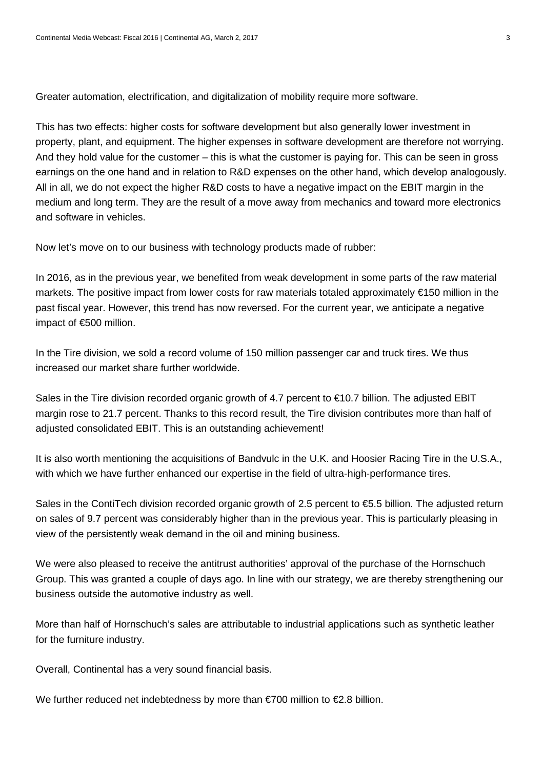Greater automation, electrification, and digitalization of mobility require more software.

This has two effects: higher costs for software development but also generally lower investment in property, plant, and equipment. The higher expenses in software development are therefore not worrying. And they hold value for the customer – this is what the customer is paying for. This can be seen in gross earnings on the one hand and in relation to R&D expenses on the other hand, which develop analogously. All in all, we do not expect the higher R&D costs to have a negative impact on the EBIT margin in the medium and long term. They are the result of a move away from mechanics and toward more electronics and software in vehicles.

Now let's move on to our business with technology products made of rubber:

In 2016, as in the previous year, we benefited from weak development in some parts of the raw material markets. The positive impact from lower costs for raw materials totaled approximately €150 million in the past fiscal year. However, this trend has now reversed. For the current year, we anticipate a negative impact of €500 million.

In the Tire division, we sold a record volume of 150 million passenger car and truck tires. We thus increased our market share further worldwide.

Sales in the Tire division recorded organic growth of 4.7 percent to €10.7 billion. The adjusted EBIT margin rose to 21.7 percent. Thanks to this record result, the Tire division contributes more than half of adjusted consolidated EBIT. This is an outstanding achievement!

It is also worth mentioning the acquisitions of Bandvulc in the U.K. and Hoosier Racing Tire in the U.S.A., with which we have further enhanced our expertise in the field of ultra-high-performance tires.

Sales in the ContiTech division recorded organic growth of 2.5 percent to €5.5 billion. The adjusted return on sales of 9.7 percent was considerably higher than in the previous year. This is particularly pleasing in view of the persistently weak demand in the oil and mining business.

We were also pleased to receive the antitrust authorities' approval of the purchase of the Hornschuch Group. This was granted a couple of days ago. In line with our strategy, we are thereby strengthening our business outside the automotive industry as well.

More than half of Hornschuch's sales are attributable to industrial applications such as synthetic leather for the furniture industry.

Overall, Continental has a very sound financial basis.

We further reduced net indebtedness by more than  $\epsilon$ 700 million to  $\epsilon$ 2.8 billion.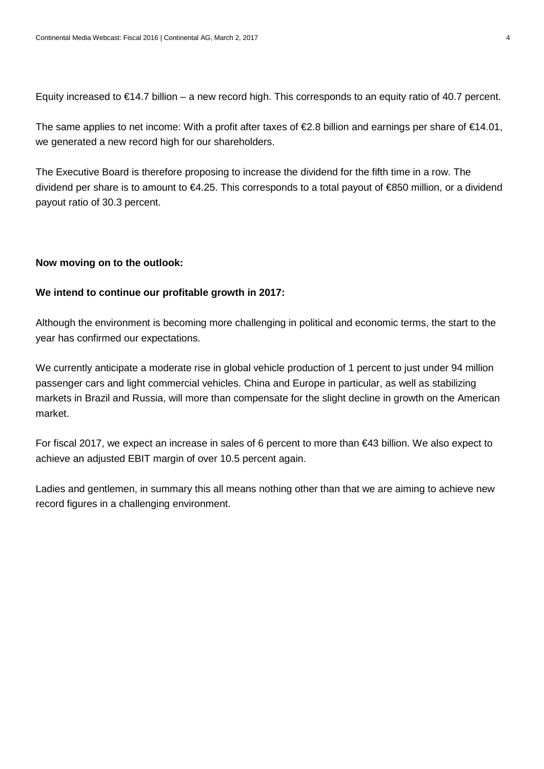Equity increased to  $\epsilon$ 14.7 billion – a new record high. This corresponds to an equity ratio of 40.7 percent.

The same applies to net income: With a profit after taxes of  $\epsilon$ 2.8 billion and earnings per share of  $\epsilon$ 14.01, we generated a new record high for our shareholders.

The Executive Board is therefore proposing to increase the dividend for the fifth time in a row. The dividend per share is to amount to €4.25. This corresponds to a total payout of €850 million, or a dividend payout ratio of 30.3 percent.

### **Now moving on to the outlook:**

#### **We intend to continue our profitable growth in 2017:**

Although the environment is becoming more challenging in political and economic terms, the start to the year has confirmed our expectations.

We currently anticipate a moderate rise in global vehicle production of 1 percent to just under 94 million passenger cars and light commercial vehicles. China and Europe in particular, as well as stabilizing markets in Brazil and Russia, will more than compensate for the slight decline in growth on the American market.

For fiscal 2017, we expect an increase in sales of 6 percent to more than €43 billion. We also expect to achieve an adjusted EBIT margin of over 10.5 percent again.

Ladies and gentlemen, in summary this all means nothing other than that we are aiming to achieve new record figures in a challenging environment.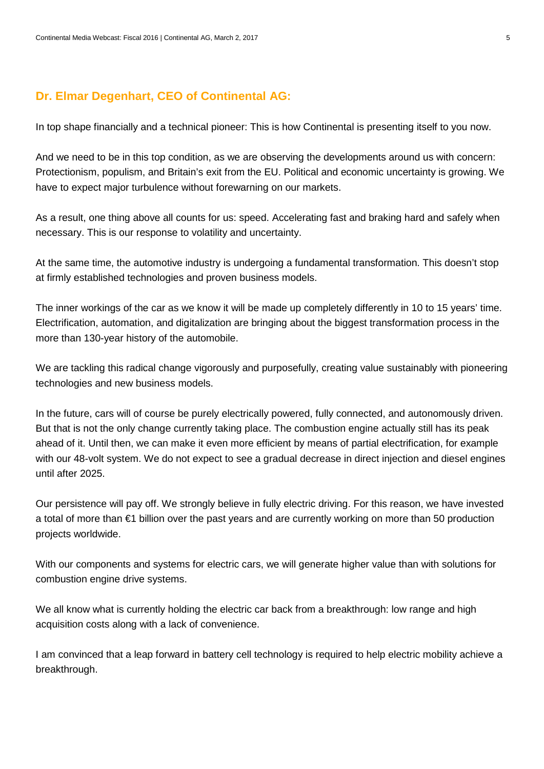## **Dr. Elmar Degenhart, CEO of Continental AG:**

In top shape financially and a technical pioneer: This is how Continental is presenting itself to you now.

And we need to be in this top condition, as we are observing the developments around us with concern: Protectionism, populism, and Britain's exit from the EU. Political and economic uncertainty is growing. We have to expect major turbulence without forewarning on our markets.

As a result, one thing above all counts for us: speed. Accelerating fast and braking hard and safely when necessary. This is our response to volatility and uncertainty.

At the same time, the automotive industry is undergoing a fundamental transformation. This doesn't stop at firmly established technologies and proven business models.

The inner workings of the car as we know it will be made up completely differently in 10 to 15 years' time. Electrification, automation, and digitalization are bringing about the biggest transformation process in the more than 130-year history of the automobile.

We are tackling this radical change vigorously and purposefully, creating value sustainably with pioneering technologies and new business models.

In the future, cars will of course be purely electrically powered, fully connected, and autonomously driven. But that is not the only change currently taking place. The combustion engine actually still has its peak ahead of it. Until then, we can make it even more efficient by means of partial electrification, for example with our 48-volt system. We do not expect to see a gradual decrease in direct injection and diesel engines until after 2025.

Our persistence will pay off. We strongly believe in fully electric driving. For this reason, we have invested a total of more than €1 billion over the past years and are currently working on more than 50 production projects worldwide.

With our components and systems for electric cars, we will generate higher value than with solutions for combustion engine drive systems.

We all know what is currently holding the electric car back from a breakthrough: low range and high acquisition costs along with a lack of convenience.

I am convinced that a leap forward in battery cell technology is required to help electric mobility achieve a breakthrough.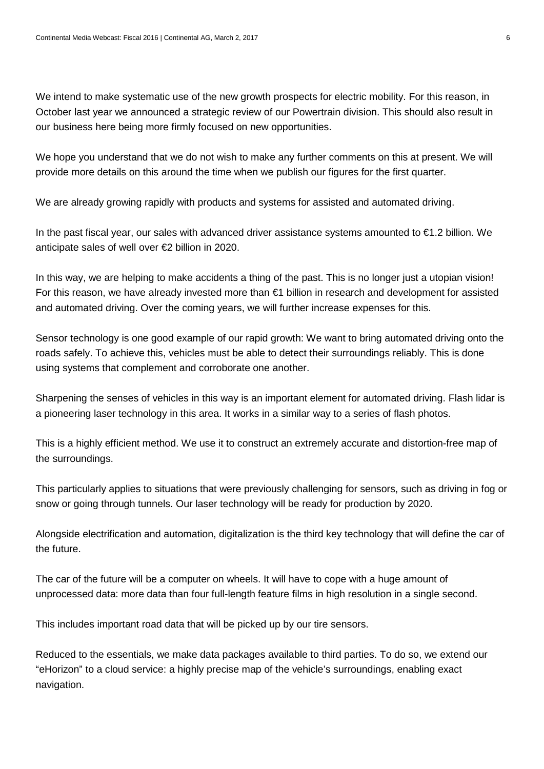We intend to make systematic use of the new growth prospects for electric mobility. For this reason, in October last year we announced a strategic review of our Powertrain division. This should also result in our business here being more firmly focused on new opportunities.

We hope you understand that we do not wish to make any further comments on this at present. We will provide more details on this around the time when we publish our figures for the first quarter.

We are already growing rapidly with products and systems for assisted and automated driving.

In the past fiscal year, our sales with advanced driver assistance systems amounted to €1.2 billion. We anticipate sales of well over €2 billion in 2020.

In this way, we are helping to make accidents a thing of the past. This is no longer just a utopian vision! For this reason, we have already invested more than €1 billion in research and development for assisted and automated driving. Over the coming years, we will further increase expenses for this.

Sensor technology is one good example of our rapid growth: We want to bring automated driving onto the roads safely. To achieve this, vehicles must be able to detect their surroundings reliably. This is done using systems that complement and corroborate one another.

Sharpening the senses of vehicles in this way is an important element for automated driving. Flash lidar is a pioneering laser technology in this area. It works in a similar way to a series of flash photos.

This is a highly efficient method. We use it to construct an extremely accurate and distortion-free map of the surroundings.

This particularly applies to situations that were previously challenging for sensors, such as driving in fog or snow or going through tunnels. Our laser technology will be ready for production by 2020.

Alongside electrification and automation, digitalization is the third key technology that will define the car of the future.

The car of the future will be a computer on wheels. It will have to cope with a huge amount of unprocessed data: more data than four full-length feature films in high resolution in a single second.

This includes important road data that will be picked up by our tire sensors.

Reduced to the essentials, we make data packages available to third parties. To do so, we extend our "eHorizon" to a cloud service: a highly precise map of the vehicle's surroundings, enabling exact navigation.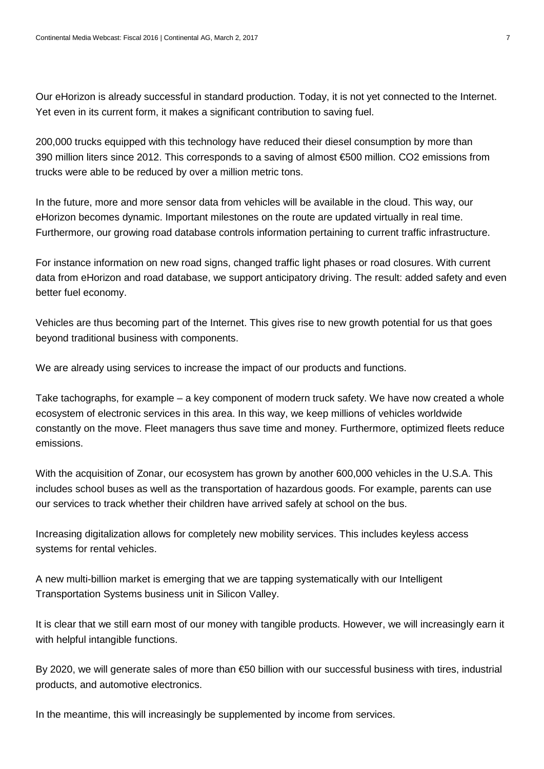Our eHorizon is already successful in standard production. Today, it is not yet connected to the Internet. Yet even in its current form, it makes a significant contribution to saving fuel.

200,000 trucks equipped with this technology have reduced their diesel consumption by more than 390 million liters since 2012. This corresponds to a saving of almost €500 million. CO2 emissions from trucks were able to be reduced by over a million metric tons.

In the future, more and more sensor data from vehicles will be available in the cloud. This way, our eHorizon becomes dynamic. Important milestones on the route are updated virtually in real time. Furthermore, our growing road database controls information pertaining to current traffic infrastructure.

For instance information on new road signs, changed traffic light phases or road closures. With current data from eHorizon and road database, we support anticipatory driving. The result: added safety and even better fuel economy.

Vehicles are thus becoming part of the Internet. This gives rise to new growth potential for us that goes beyond traditional business with components.

We are already using services to increase the impact of our products and functions.

Take tachographs, for example – a key component of modern truck safety. We have now created a whole ecosystem of electronic services in this area. In this way, we keep millions of vehicles worldwide constantly on the move. Fleet managers thus save time and money. Furthermore, optimized fleets reduce emissions.

With the acquisition of Zonar, our ecosystem has grown by another 600,000 vehicles in the U.S.A. This includes school buses as well as the transportation of hazardous goods. For example, parents can use our services to track whether their children have arrived safely at school on the bus.

Increasing digitalization allows for completely new mobility services. This includes keyless access systems for rental vehicles.

A new multi-billion market is emerging that we are tapping systematically with our Intelligent Transportation Systems business unit in Silicon Valley.

It is clear that we still earn most of our money with tangible products. However, we will increasingly earn it with helpful intangible functions.

By 2020, we will generate sales of more than €50 billion with our successful business with tires, industrial products, and automotive electronics.

In the meantime, this will increasingly be supplemented by income from services.